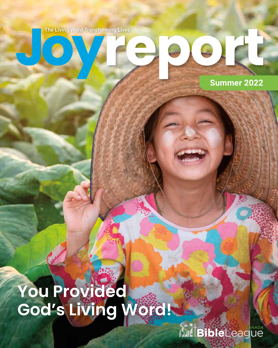

**Summer 2022**

# **You Provided God's Living Word!**

*Nati***zibieLeague**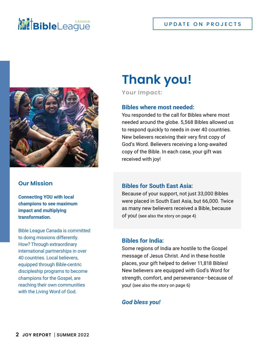# **NIE Bible**League



## **Our Mission**

**Connecting YOU with local champions to see maximum impact and multiplying transformation.**

Bible League Canada is committed to doing missions differently. How? Through extraordinary international partnerships in over 40 countries. Local believers, equipped through Bible-centric discipleship programs to become champions for the Gospel, are reaching their own communities with the Living Word of God.

# **Thank you!**

**Your Impact:**

## **Bibles where most needed:**

You responded to the call for Bibles where most needed around the globe. 5,568 Bibles allowed us to respond quickly to needs in over 40 countries. New believers receiving their very first copy of God's Word. Believers receiving a long-awaited copy of the Bible. In each case, your gift was received with joy!

## **Bibles for South East Asia:**

Because of your support, not just 33,000 Bibles were placed in South East Asia, but 66,000. Twice as many new believers received a Bible, because of you! (see also the story on page 4)

## **Bibles for India:**

Some regions of India are hostile to the Gospel message of Jesus Christ. And in these hostile places, your gift helped to deliver 11,818 Bibles! New believers are equipped with God's Word for strength, comfort, and perseverance—because of you! (see also the story on page 6)

## *God bless you!*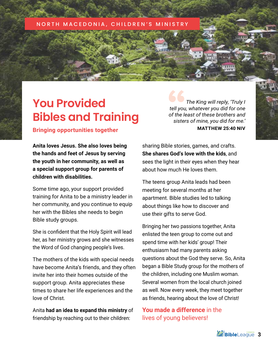#### NORTH MACEDONIA

# **You Provided Bibles and Training**

*The King will reply, 'Truly I tell you, whatever you did for one of the least of these brothers and sisters of mine, you did for me.'* **MATTHEW 25:40 NIV**

**Bringing opportunities together**

**Anita loves Jesus. She also loves being the hands and feet of Jesus by serving the youth in her community, as well as a special support group for parents of children with disabilities.** 

Some time ago, your support provided training for Anita to be a ministry leader in her community, and you continue to equip her with the Bibles she needs to begin Bible study groups.

She is confident that the Holy Spirit will lead her, as her ministry grows and she witnesses the Word of God changing people's lives.

The mothers of the kids with special needs have become Anita's friends, and they often invite her into their homes outside of the support group. Anita appreciates these times to share her life experiences and the love of Christ.

Anita **had an idea to expand this ministry** of friendship by reaching out to their children:

sharing Bible stories, games, and crafts. **She shares God's love with the kids**, and sees the light in their eyes when they hear about how much He loves them.

The teens group Anita leads had been meeting for several months at her apartment. Bible studies led to talking about things like how to discover and use their gifts to serve God.

Bringing her two passions together, Anita enlisted the teen group to come out and spend time with her kids' group! Their enthusiasm had many parents asking questions about the God they serve. So, Anita began a Bible Study group for the mothers of the children, including one Muslim woman. Several women from the local church joined as well. Now every week, they meet together as friends, hearing about the love of Christ!

**You made a difference** in the lives of young believers!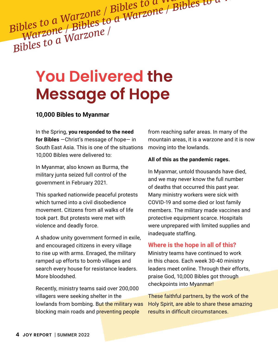*Bibles to a Warzone / Bibles to a Warzone / Bibles to a Warzone / Bibles to a Warzone / Bibles to a Warzone Bibles to a Warzone / Blows to a Warzone*<br>*Warzone / Bibles to a Warzone*<br>*Bibles to a Warzone /* 

# **You Delivered the Message of Hope**

## **10,000 Bibles to Myanmar**

In the Spring, **you responded to the need for Bibles** —Christ's message of hope— in South East Asia. This is one of the situations 10,000 Bibles were delivered to:

In Myanmar, also known as Burma, the military junta seized full control of the government in February 2021.

This sparked nationwide peaceful protests which turned into a civil disobedience movement. Citizens from all walks of life took part. But protests were met with violence and deadly force.

A shadow unity government formed in exile, and encouraged citizens in every village to rise up with arms. Enraged, the military ramped up efforts to bomb villages and search every house for resistance leaders. More bloodshed.

Recently, ministry teams said over 200,000 villagers were seeking shelter in the lowlands from bombing. But the military was blocking main roads and preventing people

from reaching safer areas. In many of the mountain areas, it is a warzone and it is now moving into the lowlands.

#### **All of this as the pandemic rages.**

In Myanmar, untold thousands have died, and we may never know the full number of deaths that occurred this past year. Many ministry workers were sick with COVID-19 and some died or lost family members. The military made vaccines and protective equipment scarce. Hospitals were unprepared with limited supplies and inadequate staffing.

## **Where is the hope in all of this?**

Ministry teams have continued to work in this chaos. Each week 30-40 ministry leaders meet online. Through their efforts, praise God, 10,000 Bibles got through checkpoints into Myanmar!

These faithful partners, by the work of the Holy Spirit, are able to share these amazing results in difficult circumstances.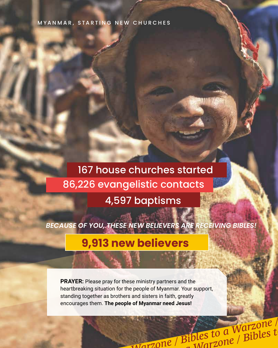# MYANMAR, STARTING NEW CHURCHES

# 167 house churches started 86,226 evangelistic contacts 4,597 baptisms

*BECAUSE OF YOU, THESE NEW BELIEVERS ARE RECEIVING BIBLES!*

*Bibles to a Warzone / Bibles to a Warzone / Bibles to a* 

 *Warzone / Bibles to a Warzone / Bibles to a Warzone* 

# **9,913 new believers**

**PRAYER:** Please pray for these ministry partners and the heartbreaking situation for the people of Myanmar. Your support, standing together as brothers and sisters in faith, greatly encourages them. **The people of Myanmar need Jesus!**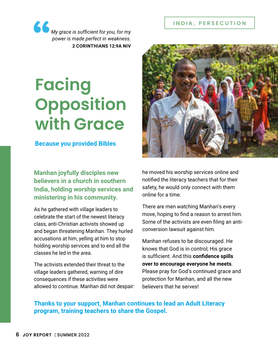### INDIA, PERSECUTION

*My grace is sufficient for you, for my power is made perfect in weakness.* **2 CORINTHIANS 12:9A NIV**

# **Facing Opposition with Grace**

## **Because you provided Bibles**

**Manhan joyfully disciples new believers in a church in southern India, holding worship services and ministering in his community.**

As he gathered with village leaders to celebrate the start of the newest literacy class, anti-Christian activists showed up and began threatening Manhan. They hurled accusations at him, yelling at him to stop holding worship services and to end all the classes he led in the area.

The activists extended their threat to the village leaders gathered, warning of dire consequences if these activities were allowed to continue. Manhan did not despair:



he moved his worship services online and notified the literacy teachers that for their safety, he would only connect with them online for a time.

There are men watching Manhan's every move, hoping to find a reason to arrest him. Some of the activists are even filing an anticonversion lawsuit against him.

Manhan refuses to be discouraged. He knows that God is in control; His grace is sufficient. And this **confidence spills over to encourage everyone he meets**. Please pray for God's continued grace and protection for Manhan, and all the new believers that he serves!

# **Thanks to your support, Manhan continues to lead an Adult Literacy program, training teachers to share the Gospel.**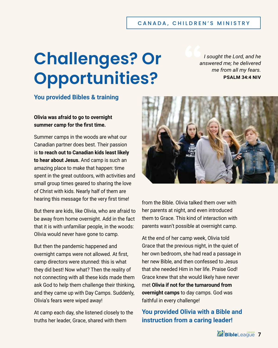### CANADA, CHILDREN'S MINISTRY

# **Challenges? Or Opportunities?**

*I sought the Lord, and he answered me; he delivered me from all my fears.* **PSALM 34:4 NIV**

# **You provided Bibles & training**

**Olivia was afraid to go to overnight summer camp for the first time.**

Summer camps in the woods are what our Canadian partner does best. Their passion is **to reach out to Canadian kids least likely to hear about Jesus.** And camp is such an amazing place to make that happen: time spent in the great outdoors, with activities and small group times geared to sharing the love of Christ with kids. Nearly half of them are hearing this message for the very first time!

But there are kids, like Olivia, who are afraid to be away from home overnight. Add in the fact that it is with unfamiliar people, in the woods: Olivia would never have gone to camp.

But then the pandemic happened and overnight camps were not allowed. At first, camp directors were stunned: this is what they did best! Now what? Then the reality of not connecting with all these kids made them ask God to help them challenge their thinking, and they came up with Day Camps. Suddenly, Olivia's fears were wiped away!

At camp each day, she listened closely to the truths her leader, Grace, shared with them



from the Bible. Olivia talked them over with her parents at night, and even introduced them to Grace. This kind of interaction with parents wasn't possible at overnight camp.

At the end of her camp week, Olivia told Grace that the previous night, in the quiet of her own bedroom, she had read a passage in her new Bible, and then confessed to Jesus that she needed Him in her life. Praise God! Grace knew that she would likely have never met **Olivia if not for the turnaround from overnight camps** to day camps. God was faithful in every challenge!

# **You provided Olivia with a Bible and instruction from a caring leader!**